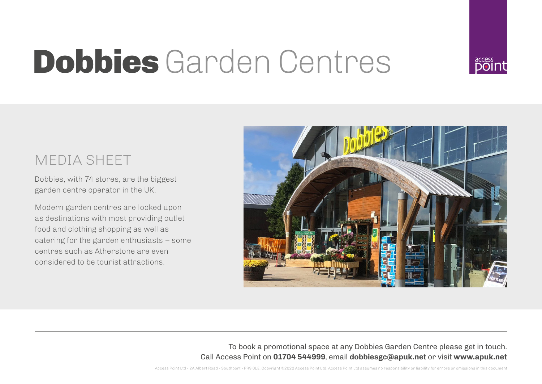## Dobbies Garden Centres

## MEDIA SHEET

Dobbies, with 74 stores, are the biggest garden centre operator in the UK.

Modern garden centres are looked upon as destinations with most providing outlet food and clothing shopping as well as catering for the garden enthusiasts – some centres such as Atherstone are even considered to be tourist attractions.



To book a promotional space at any Dobbies Garden Centre please get in touch. Call Access Point on **01704 544999**, email **dobbiesgc@apuk.net** or visit **www.apuk.net**